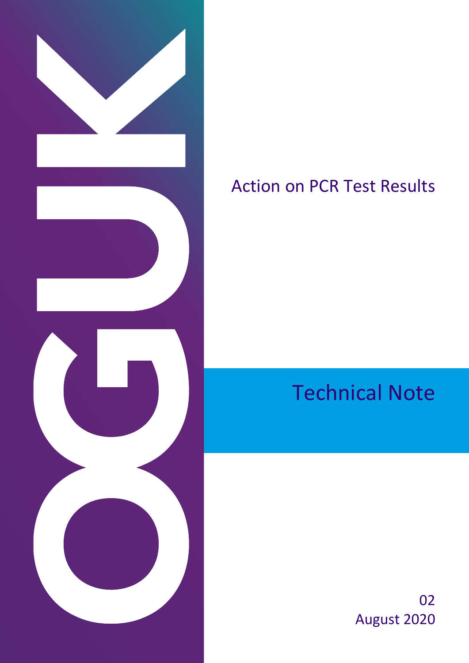

## Action on PCR Test Results

Technical Note

02 August 2020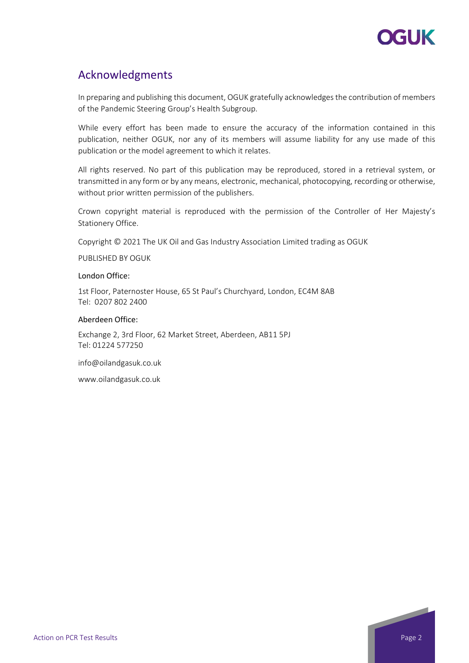

### Acknowledgments

In preparing and publishing this document, OGUK gratefully acknowledges the contribution of members of the Pandemic Steering Group's Health Subgroup.

While every effort has been made to ensure the accuracy of the information contained in this publication, neither OGUK, nor any of its members will assume liability for any use made of this publication or the model agreement to which it relates.

All rights reserved. No part of this publication may be reproduced, stored in a retrieval system, or transmitted in any form or by any means, electronic, mechanical, photocopying, recording or otherwise, without prior written permission of the publishers.

Crown copyright material is reproduced with the permission of the Controller of Her Majesty's Stationery Office.

Copyright © 2021 The UK Oil and Gas Industry Association Limited trading as OGUK

PUBLISHED BY OGUK

#### London Office:

1st Floor, Paternoster House, 65 St Paul's Churchyard, London, EC4M 8AB Tel: 0207 802 2400

#### Aberdeen Office:

Exchange 2, 3rd Floor, 62 Market Street, Aberdeen, AB11 5PJ Tel: 01224 577250

info@oilandgasuk.co.uk

www.oilandgasuk.co.uk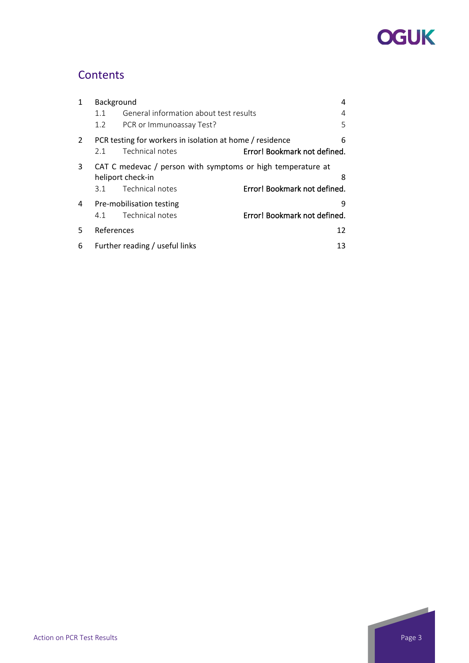# **OGUK**

## **Contents**

| 1              | Background                                                                            |                                        |                              |
|----------------|---------------------------------------------------------------------------------------|----------------------------------------|------------------------------|
|                | 1.1                                                                                   | General information about test results |                              |
|                | $1.2^{\circ}$                                                                         | PCR or Immunoassay Test?               | 5                            |
| $\overline{2}$ | PCR testing for workers in isolation at home / residence                              |                                        |                              |
|                | 2.1                                                                                   | Technical notes                        | Error! Bookmark not defined. |
| 3              | CAT C medevac / person with symptoms or high temperature at<br>heliport check-in<br>8 |                                        |                              |
|                | 3.1                                                                                   | Technical notes                        | Error! Bookmark not defined. |
| 4              |                                                                                       | Pre-mobilisation testing               | q                            |
|                | 4.1                                                                                   | Technical notes                        | Error! Bookmark not defined. |
| 5              | References                                                                            |                                        |                              |
| 6              | Further reading / useful links<br>13                                                  |                                        |                              |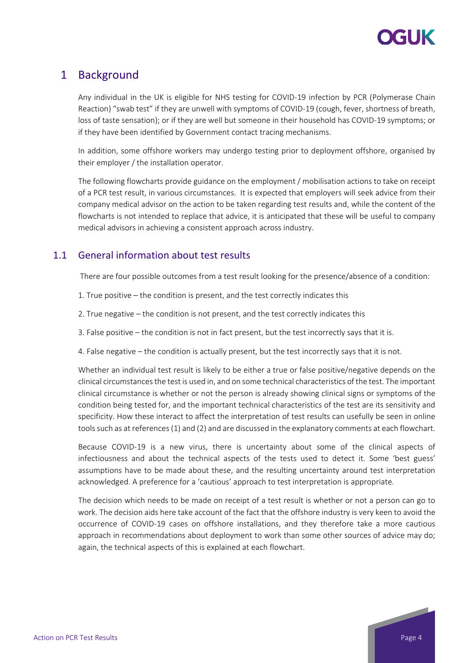

### <span id="page-3-0"></span>1 Background

Any individual in the UK is eligible for NHS testing for COVID-19 infection by PCR (Polymerase Chain Reaction) "swab test" if they are unwell with symptoms of COVID-19 (cough, fever, shortness of breath, loss of taste sensation); or if they are well but someone in their household has COVID-19 symptoms; or if they have been identified by Government contact tracing mechanisms.

In addition, some offshore workers may undergo testing prior to deployment offshore, organised by their employer / the installation operator.

The following flowcharts provide guidance on the employment / mobilisation actions to take on receipt of a PCR test result, in various circumstances. It is expected that employers will seek advice from their company medical advisor on the action to be taken regarding test results and, while the content of the flowcharts is not intended to replace that advice, it is anticipated that these will be useful to company medical advisors in achieving a consistent approach across industry.

### <span id="page-3-1"></span>1.1 General information about test results

There are four possible outcomes from a test result looking for the presence/absence of a condition:

- 1. True positive the condition is present, and the test correctly indicates this
- 2. True negative the condition is not present, and the test correctly indicates this
- 3. False positive the condition is not in fact present, but the test incorrectly says that it is.
- 4. False negative the condition is actually present, but the test incorrectly says that it is not.

Whether an individual test result is likely to be either a true or false positive/negative depends on the clinical circumstances the test is used in, and on some technical characteristics of the test. The important clinical circumstance is whether or not the person is already showing clinical signs or symptoms of the condition being tested for, and the important technical characteristics of the test are its sensitivity and specificity. How these interact to affect the interpretation of test results can usefully be seen in online tools such as at references (1) and (2) and are discussed in the explanatory comments at each flowchart.

Because COVID-19 is a new virus, there is uncertainty about some of the clinical aspects of infectiousness and about the technical aspects of the tests used to detect it. Some 'best guess' assumptions have to be made about these, and the resulting uncertainty around test interpretation acknowledged. A preference for a 'cautious' approach to test interpretation is appropriate.

The decision which needs to be made on receipt of a test result is whether or not a person can go to work. The decision aids here take account of the fact that the offshore industry is very keen to avoid the occurrence of COVID-19 cases on offshore installations, and they therefore take a more cautious approach in recommendations about deployment to work than some other sources of advice may do; again, the technical aspects of this is explained at each flowchart.



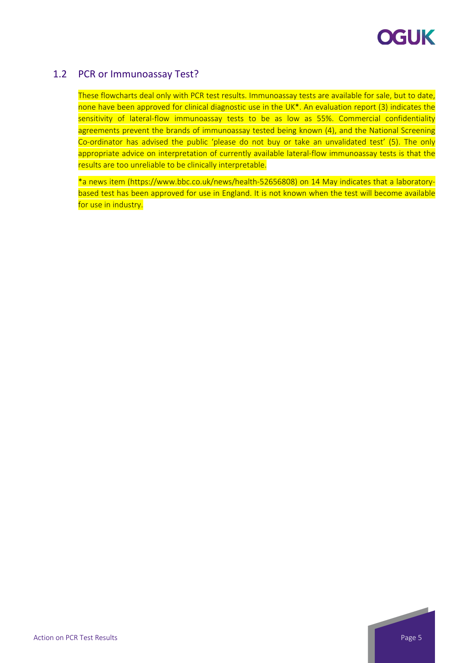

### <span id="page-4-0"></span>1.2 PCR or Immunoassay Test?

These flowcharts deal only with PCR test results. Immunoassay tests are available for sale, but to date, none have been approved for clinical diagnostic use in the UK<sup>\*</sup>. An evaluation report (3) indicates the sensitivity of lateral-flow immunoassay tests to be as low as 55%. Commercial confidentiality agreements prevent the brands of immunoassay tested being known (4), and the National Screening Co-ordinator has advised the public 'please do not buy or take an unvalidated test' (5). The only appropriate advice on interpretation of currently available lateral-flow immunoassay tests is that the results are too unreliable to be clinically interpretable.

\*a news item (https://www.bbc.co.uk/news/health-52656808) on 14 May indicates that a laboratorybased test has been approved for use in England. It is not known when the test will become available for use in industry.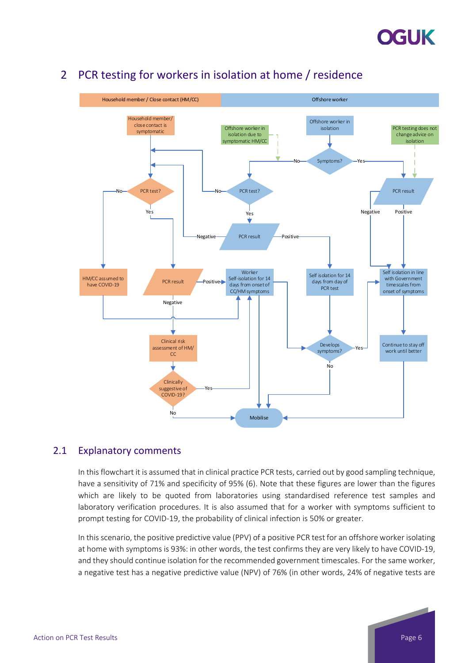



## <span id="page-5-0"></span>2 PCR testing for workers in isolation at home / residence

### 2.1 Explanatory comments

In this flowchart it is assumed that in clinical practice PCR tests, carried out by good sampling technique, have a sensitivity of 71% and specificity of 95% (6). Note that these figures are lower than the figures which are likely to be quoted from laboratories using standardised reference test samples and laboratory verification procedures. It is also assumed that for a worker with symptoms sufficient to prompt testing for COVID-19, the probability of clinical infection is 50% or greater.

In this scenario, the positive predictive value (PPV) of a positive PCR test for an offshore worker isolating at home with symptoms is 93%: in other words, the test confirms they are very likely to have COVID-19, and they should continue isolation for the recommended government timescales. For the same worker, a negative test has a negative predictive value (NPV) of 76% (in other words, 24% of negative tests are

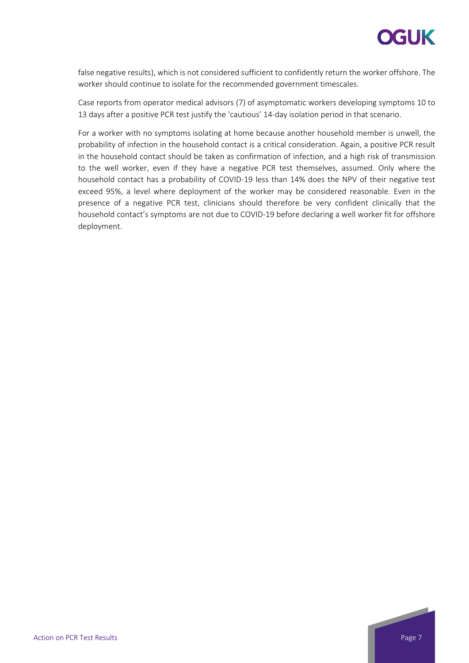

false negative results), which is not considered sufficient to confidently return the worker offshore. The worker should continue to isolate for the recommended government timescales.

Case reports from operator medical advisors (7) of asymptomatic workers developing symptoms 10 to 13 days after a positive PCR test justify the 'cautious' 14-day isolation period in that scenario.

For a worker with no symptoms isolating at home because another household member is unwell, the probability of infection in the household contact is a critical consideration. Again, a positive PCR result in the household contact should be taken as confirmation of infection, and a high risk of transmission to the well worker, even if they have a negative PCR test themselves, assumed. Only where the household contact has a probability of COVID-19 less than 14% does the NPV of their negative test exceed 95%, a level where deployment of the worker may be considered reasonable. Even in the presence of a negative PCR test, clinicians should therefore be very confident clinically that the household contact's symptoms are not due to COVID-19 before declaring a well worker fit for offshore deployment.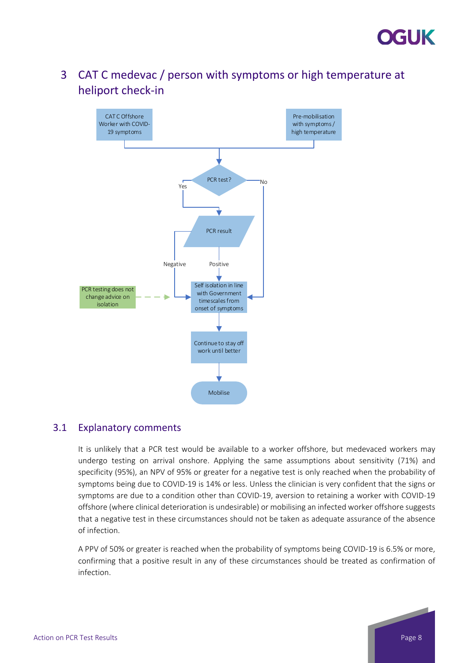

## <span id="page-7-0"></span>3 CAT C medevac / person with symptoms or high temperature at heliport check-in



### 3.1 Explanatory comments

It is unlikely that a PCR test would be available to a worker offshore, but medevaced workers may undergo testing on arrival onshore. Applying the same assumptions about sensitivity (71%) and specificity (95%), an NPV of 95% or greater for a negative test is only reached when the probability of symptoms being due to COVID-19 is 14% or less. Unless the clinician is very confident that the signs or symptoms are due to a condition other than COVID-19, aversion to retaining a worker with COVID-19 offshore (where clinical deterioration is undesirable) or mobilising an infected worker offshore suggests that a negative test in these circumstances should not be taken as adequate assurance of the absence of infection.

A PPV of 50% or greater is reached when the probability of symptoms being COVID-19 is 6.5% or more, confirming that a positive result in any of these circumstances should be treated as confirmation of infection.

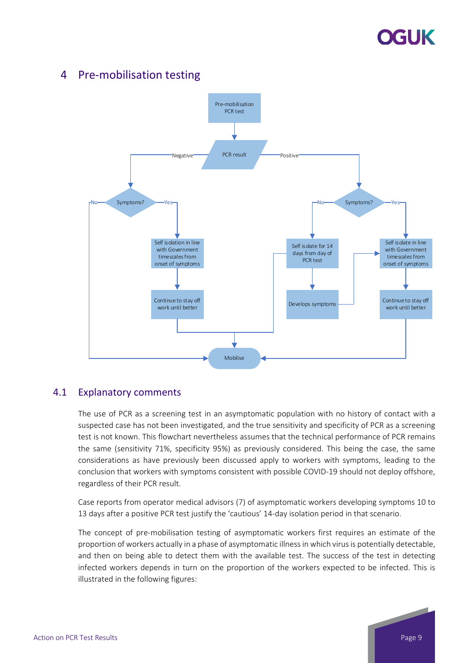# GIJK

## 4 Pre-mobilisation testing

<span id="page-8-0"></span>

#### 4.1 Explanatory comments

The use of PCR as a screening test in an asymptomatic population with no history of contact with a suspected case has not been investigated, and the true sensitivity and specificity of PCR as a screening test is not known. This flowchart nevertheless assumes that the technical performance of PCR remains the same (sensitivity 71%, specificity 95%) as previously considered. This being the case, the same considerations as have previously been discussed apply to workers with symptoms, leading to the conclusion that workers with symptoms consistent with possible COVID-19 should not deploy offshore, regardless of their PCR result.

Case reports from operator medical advisors (7) of asymptomatic workers developing symptoms 10 to 13 days after a positive PCR test justify the 'cautious' 14-day isolation period in that scenario.

The concept of pre-mobilisation testing of asymptomatic workers first requires an estimate of the proportion of workers actually in a phase of asymptomatic illness in which virus is potentially detectable, and then on being able to detect them with the available test. The success of the test in detecting infected workers depends in turn on the proportion of the workers expected to be infected. This is illustrated in the following figures:

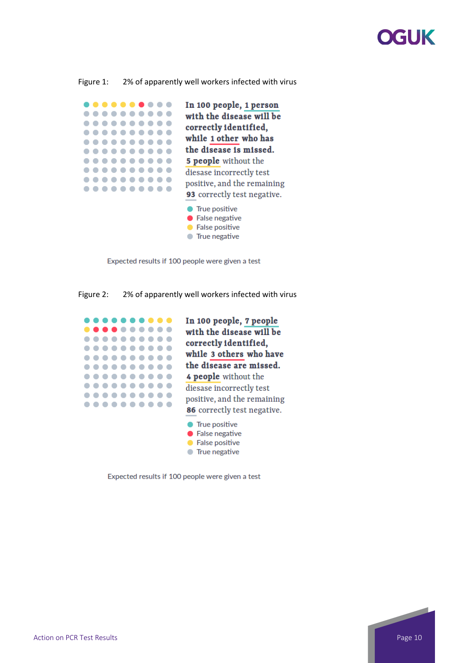# XGUK

Figure 1: 2% of apparently well workers infected with virus

| In 100 people, 1 person<br>with the disease will be<br>correctly identified,<br>while 1 other who has                                                                      |
|----------------------------------------------------------------------------------------------------------------------------------------------------------------------------|
| the disease is missed.                                                                                                                                                     |
| <b>5 people</b> without the                                                                                                                                                |
| diesase incorrectly test<br>positive, and the remaining<br><b>93</b> correctly test negative.<br>True positive<br>False negative<br><b>False positive</b><br>True negative |

Expected results if 100 people were given a test

Figure 2: 2% of apparently well workers infected with virus



Expected results if 100 people were given a test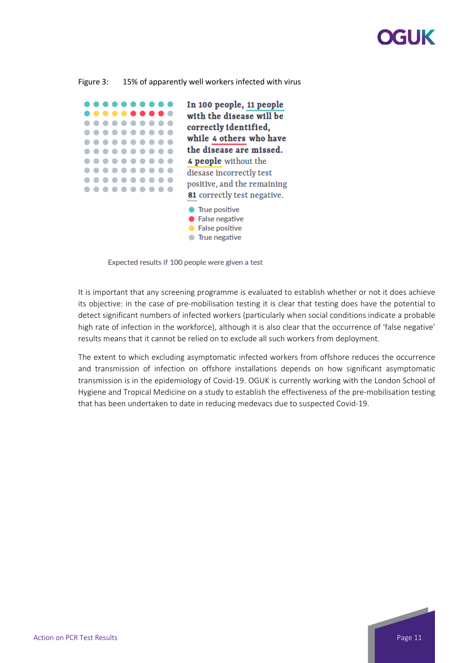# **XGI JK**

#### Figure 3: 15% of apparently well workers infected with virus



Expected results if 100 people were given a test

It is important that any screening programme is evaluated to establish whether or not it does achieve its objective: in the case of pre-mobilisation testing it is clear that testing does have the potential to detect significant numbers of infected workers (particularly when social conditions indicate a probable high rate of infection in the workforce), although it is also clear that the occurrence of 'false negative' results means that it cannot be relied on to exclude all such workers from deployment.

The extent to which excluding asymptomatic infected workers from offshore reduces the occurrence and transmission of infection on offshore installations depends on how significant asymptomatic transmission is in the epidemiology of Covid-19. OGUK is currently working with the London School of Hygiene and Tropical Medicine on a study to establish the effectiveness of the pre-mobilisation testing that has been undertaken to date in reducing medevacs due to suspected Covid-19.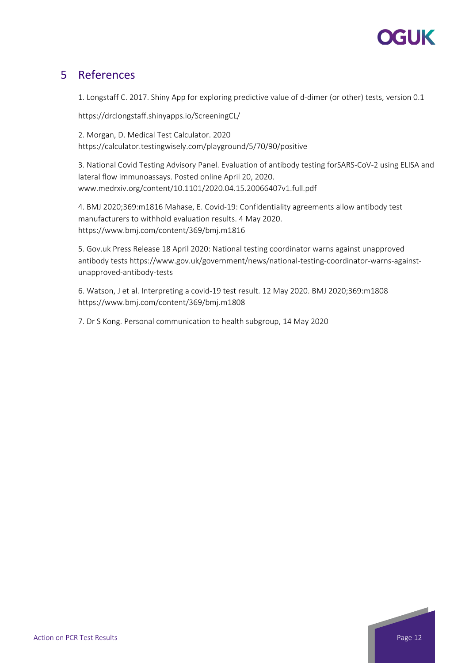

### <span id="page-11-0"></span>5 References

1. Longstaff C. 2017. Shiny App for exploring predictive value of d-dimer (or other) tests, version 0.1

https://drclongstaff.shinyapps.io/ScreeningCL/

2. Morgan, D. Medical Test Calculator. 2020 https://calculator.testingwisely.com/playground/5/70/90/positive

3. National Covid Testing Advisory Panel. Evaluation of antibody testing forSARS-CoV-2 using ELISA and lateral flow immunoassays. Posted online April 20, 2020. www.medrxiv.org/content/10.1101/2020.04.15.20066407v1.full.pdf

4. BMJ 2020;369:m1816 Mahase, E. Covid-19: Confidentiality agreements allow antibody test manufacturers to withhold evaluation results. 4 May 2020. https://www.bmj.com/content/369/bmj.m1816

5. Gov.uk Press Release 18 April 2020: National testing coordinator warns against unapproved antibody tests https://www.gov.uk/government/news/national-testing-coordinator-warns-againstunapproved-antibody-tests

6. Watson, J et al. Interpreting a covid-19 test result. 12 May 2020. BMJ 2020;369:m1808 https://www.bmj.com/content/369/bmj.m1808

7. Dr S Kong. Personal communication to health subgroup, 14 May 2020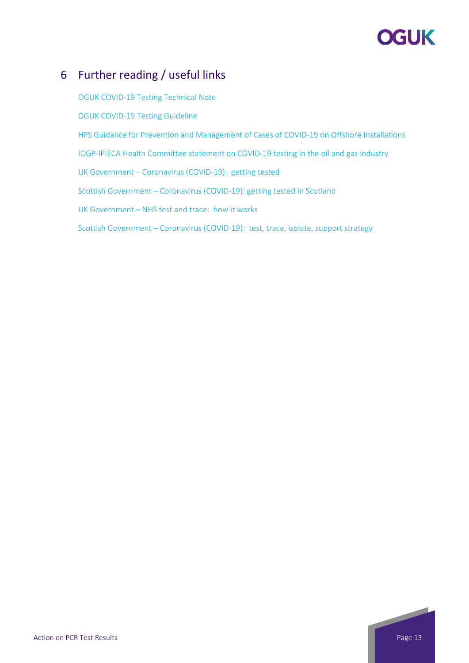# **OGUK**

## <span id="page-12-0"></span>6 Further reading / useful links

OGUK [COVID-19 Testing Technical Note](https://oilandgasuk.co.uk/wp-content/uploads/2020/07/COVID-19-Testing-Summary-Technical-Note-002-OGUK-July-2020.pdf) [OGUK COVID-19 Testing Guideline](https://oilandgasuk.co.uk/product/covid-19-testing-guidelines/) [HPS Guidance for Prevention and Management of Cases of COVID-19 on Offshore Installations](https://www.hps.scot.nhs.uk/web-resources-container/guidance-for-prevention-and-management-of-cases-of-covid-19-on-offshore-installations/) [IOGP-IPIECA Health Committee statement on COVID-19 testing in the oil and gas industry](https://www.iogp.org/blog/position-statements/statement-on-covid-19-testing-in-the-oil-and-gas-industry/) UK Government – [Coronavirus \(COVID-19\): getting tested](https://www.gov.uk/guidance/coronavirus-covid-19-getting-tested) Scottish Government – [Coronavirus \(COVID-19\): getting tested in Scotland](https://www.gov.scot/publications/coronavirus-covid-19-getting-tested/) UK Government – [NHS test and trace: how it works](https://www.gov.uk/guidance/nhs-test-and-trace-how-it-works) Scottish Government – [Coronavirus \(COVID-19\): test, trace, isolate, support strategy](https://www.gov.scot/publications/coronavirus-covid-19-test-trace-isolate-support/)